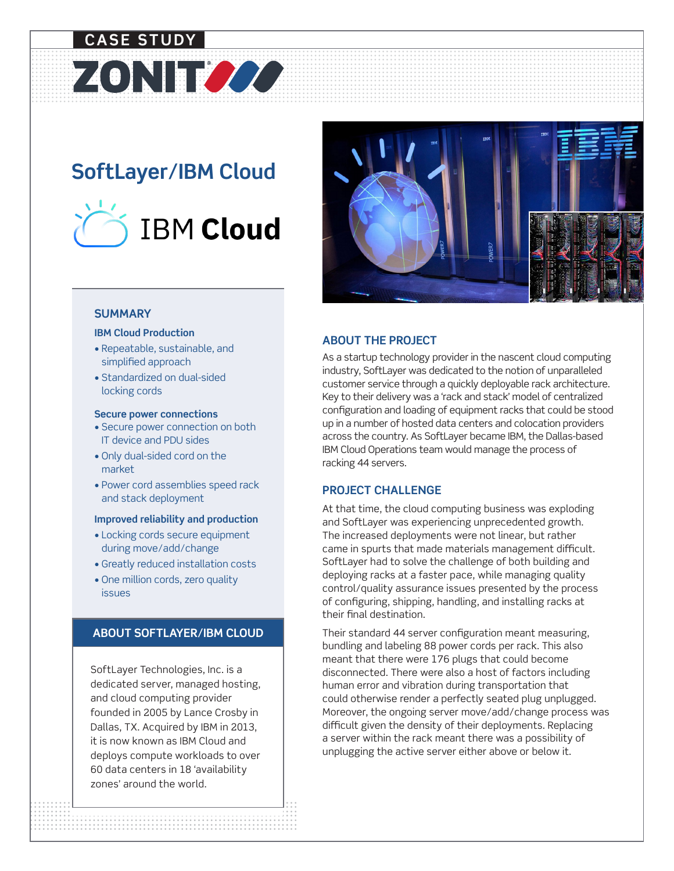# **CASE STUDY**

# **SoftLayer/IBM Cloud**

ZONITZZZ



## **SUMMARY**

#### **IBM Cloud Production**

- Repeatable, sustainable, and simplified approach
- Standardized on dual-sided locking cords

#### **Secure power connections**

- Secure power connection on both IT device and PDU sides
- Only dual-sided cord on the market
- Power cord assemblies speed rack and stack deployment

#### **Improved reliability and production**

- Locking cords secure equipment during move/add/change
- Greatly reduced installation costs
- One million cords, zero quality issues

# **ABOUT SOFTLAYER/IBM CLOUD**

SoftLayer Technologies, Inc. is a dedicated server, managed hosting, and cloud computing provider founded in 2005 by Lance Crosby in Dallas, TX. Acquired by IBM in 2013, it is now known as IBM Cloud and deploys compute workloads to over 60 data centers in 18 'availability zones' around the world.

**.............................................................................................................................. . .............................................................................................................................. . .............................................................................................................................. . .............................................................................................................................. . .............................................................................................................................. . .............................................................................................................................. . .............................................................................................................................. . .............................................................................................................................. . .............................................................................................................................. . .............................................................................................................................. .**



# **ABOUT THE PROJECT**

As a startup technology provider in the nascent cloud computing industry, SoftLayer was dedicated to the notion of unparalleled customer service through a quickly deployable rack architecture. Key to their delivery was a 'rack and stack' model of centralized configuration and loading of equipment racks that could be stood up in a number of hosted data centers and colocation providers across the country. As SoftLayer became IBM, the Dallas-based IBM Cloud Operations team would manage the process of racking 44 servers.

### **PROJECT CHALLENGE**

At that time, the cloud computing business was exploding and SoftLayer was experiencing unprecedented growth. The increased deployments were not linear, but rather came in spurts that made materials management difficult. SoftLayer had to solve the challenge of both building and deploying racks at a faster pace, while managing quality control/quality assurance issues presented by the process of configuring, shipping, handling, and installing racks at their final destination.

Their standard 44 server configuration meant measuring, bundling and labeling 88 power cords per rack. This also meant that there were 176 plugs that could become disconnected. There were also a host of factors including human error and vibration during transportation that could otherwise render a perfectly seated plug unplugged. Moreover, the ongoing server move/add/change process was difficult given the density of their deployments. Replacing a server within the rack meant there was a possibility of unplugging the active server either above or below it.